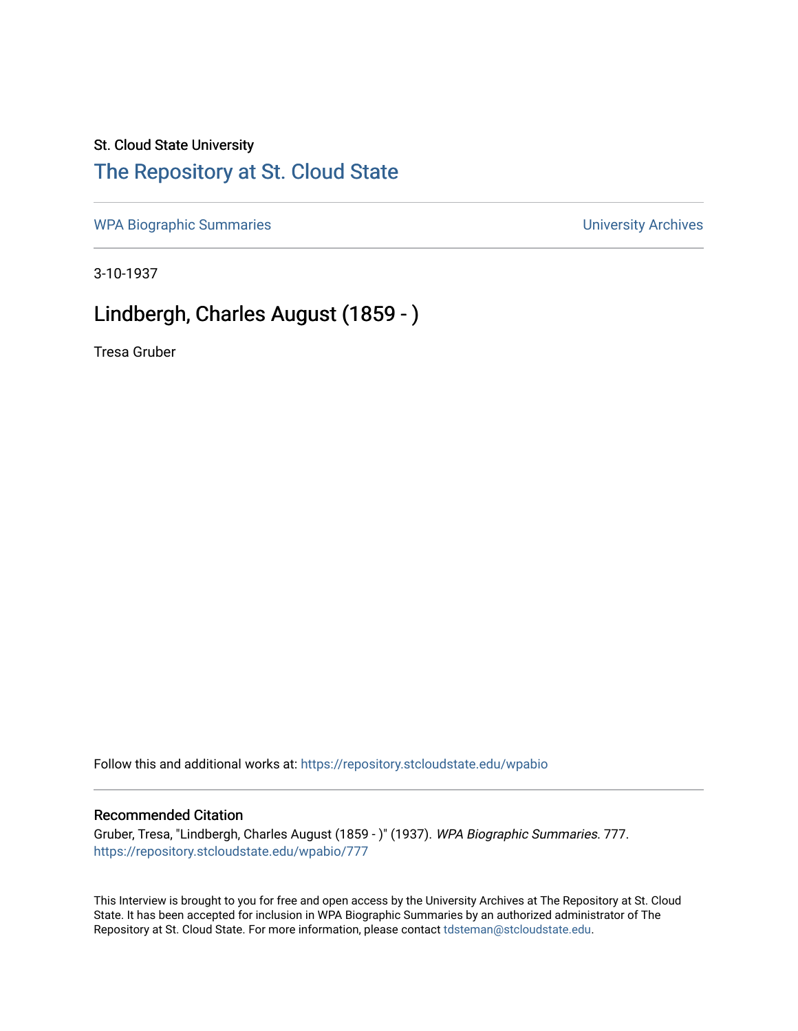## St. Cloud State University

## [The Repository at St. Cloud State](https://repository.stcloudstate.edu/)

[WPA Biographic Summaries](https://repository.stcloudstate.edu/wpabio) **WPA Biographic Summaries University Archives** 

3-10-1937

# Lindbergh, Charles August (1859 - )

Tresa Gruber

Follow this and additional works at: [https://repository.stcloudstate.edu/wpabio](https://repository.stcloudstate.edu/wpabio?utm_source=repository.stcloudstate.edu%2Fwpabio%2F777&utm_medium=PDF&utm_campaign=PDFCoverPages) 

#### Recommended Citation

Gruber, Tresa, "Lindbergh, Charles August (1859 - )" (1937). WPA Biographic Summaries. 777. [https://repository.stcloudstate.edu/wpabio/777](https://repository.stcloudstate.edu/wpabio/777?utm_source=repository.stcloudstate.edu%2Fwpabio%2F777&utm_medium=PDF&utm_campaign=PDFCoverPages) 

This Interview is brought to you for free and open access by the University Archives at The Repository at St. Cloud State. It has been accepted for inclusion in WPA Biographic Summaries by an authorized administrator of The Repository at St. Cloud State. For more information, please contact [tdsteman@stcloudstate.edu.](mailto:tdsteman@stcloudstate.edu)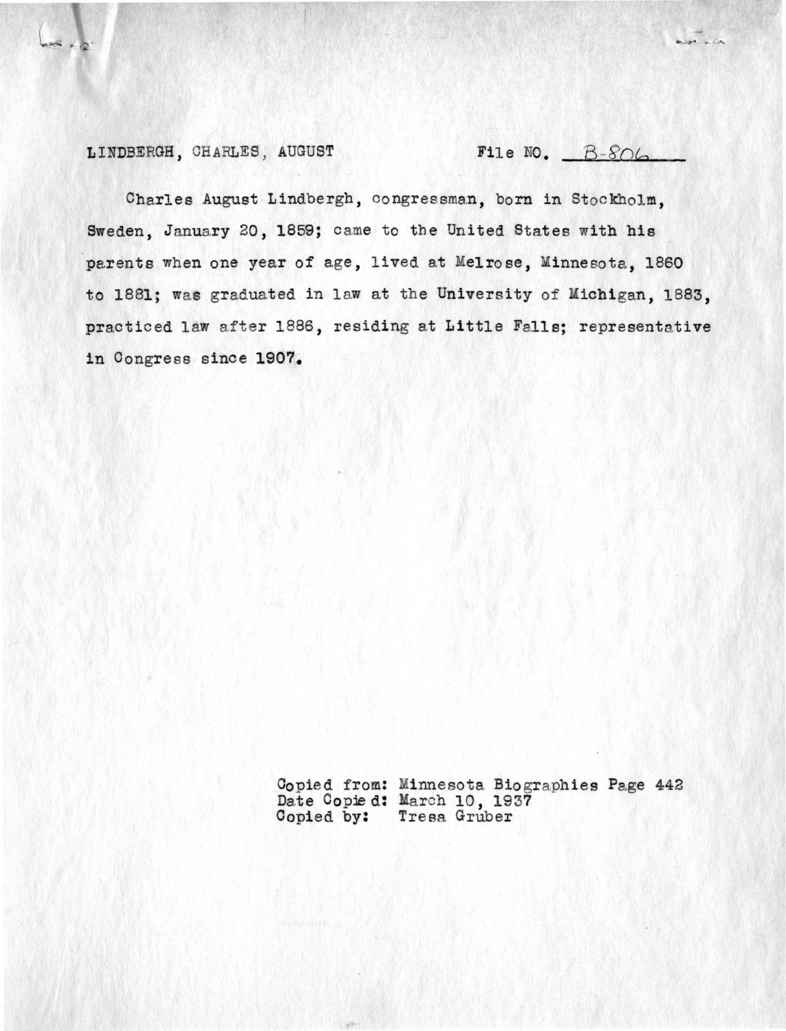### LINDBERGH, CHARLES, AUGUST File NO. B-806

 $\frac{1}{2}$ 

Charles August Lindbergh, congressman, born in Stockholm , Sweden, January 20, 1859; came to the United States with his parents when one year of age, lived at Melrose, Minnesota, 1860 to 1881; was graduated in law at the University of Michigan, 1883, practiced law after 1886, residing at Little Falls; representative in Oongress since **1907.** 

> Copied from: Minnesota Biographies Page 442 Date Copie d: March 10, 1937 Copied by: Tresa Gruber